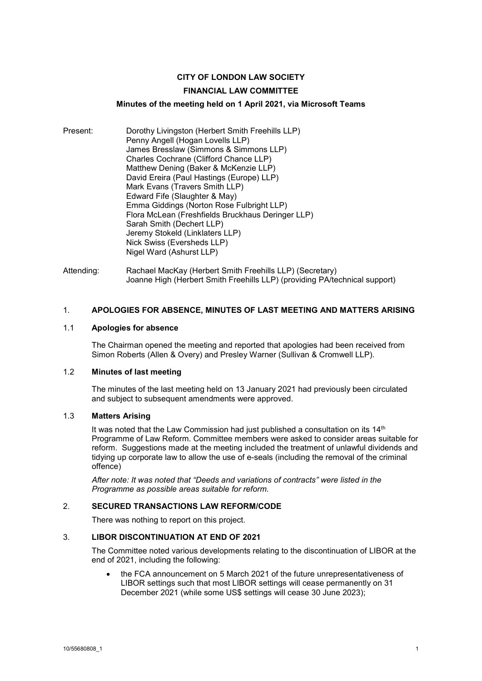# **CITY OF LONDON LAW SOCIETY**

### **FINANCIAL LAW COMMITTEE**

### **Minutes of the meeting held on 1 April 2021, via Microsoft Teams**

- Present: Dorothy Livingston (Herbert Smith Freehills LLP) Penny Angell (Hogan Lovells LLP) James Bresslaw (Simmons & Simmons LLP) Charles Cochrane (Clifford Chance LLP) Matthew Dening (Baker & McKenzie LLP) David Ereira (Paul Hastings (Europe) LLP) Mark Evans (Travers Smith LLP) Edward Fife (Slaughter & May) Emma Giddings (Norton Rose Fulbright LLP) Flora McLean (Freshfields Bruckhaus Deringer LLP) Sarah Smith (Dechert LLP) Jeremy Stokeld (Linklaters LLP) Nick Swiss (Eversheds LLP) Nigel Ward (Ashurst LLP)
- Attending: Rachael MacKay (Herbert Smith Freehills LLP) (Secretary) Joanne High (Herbert Smith Freehills LLP) (providing PA/technical support)

#### 1. **APOLOGIES FOR ABSENCE, MINUTES OF LAST MEETING AND MATTERS ARISING**

#### 1.1 **Apologies for absence**

The Chairman opened the meeting and reported that apologies had been received from Simon Roberts (Allen & Overy) and Presley Warner (Sullivan & Cromwell LLP).

## 1.2 **Minutes of last meeting**

The minutes of the last meeting held on 13 January 2021 had previously been circulated and subject to subsequent amendments were approved.

#### 1.3 **Matters Arising**

It was noted that the Law Commission had just published a consultation on its 14<sup>th</sup> Programme of Law Reform. Committee members were asked to consider areas suitable for reform. Suggestions made at the meeting included the treatment of unlawful dividends and tidying up corporate law to allow the use of e-seals (including the removal of the criminal offence)

*After note: It was noted that "Deeds and variations of contracts" were listed in the Programme as possible areas suitable for reform.*

#### 2. **SECURED TRANSACTIONS LAW REFORM/CODE**

There was nothing to report on this project.

#### 3. **LIBOR DISCONTINUATION AT END OF 2021**

The Committee noted various developments relating to the discontinuation of LIBOR at the end of 2021, including the following:

the FCA announcement on 5 March 2021 of the future unrepresentativeness of LIBOR settings such that most LIBOR settings will cease permanently on 31 December 2021 (while some US\$ settings will cease 30 June 2023);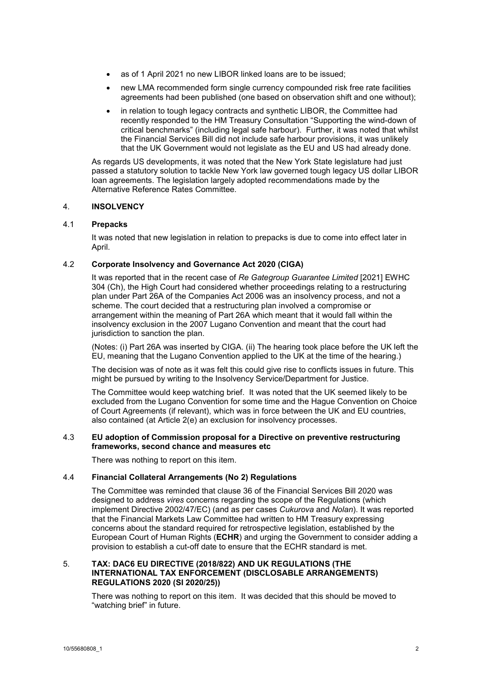- as of 1 April 2021 no new LIBOR linked loans are to be issued;
- new LMA recommended form single currency compounded risk free rate facilities agreements had been published (one based on observation shift and one without);
- in relation to tough legacy contracts and synthetic LIBOR, the Committee had recently responded to the HM Treasury Consultation "Supporting the wind-down of critical benchmarks" (including legal safe harbour). Further, it was noted that whilst the Financial Services Bill did not include safe harbour provisions, it was unlikely that the UK Government would not legislate as the EU and US had already done.

As regards US developments, it was noted that the New York State legislature had just passed a statutory solution to tackle New York law governed tough legacy US dollar LIBOR loan agreements. The legislation largely adopted recommendations made by the Alternative Reference Rates Committee.

## 4. **INSOLVENCY**

### 4.1 **Prepacks**

It was noted that new legislation in relation to prepacks is due to come into effect later in April.

## 4.2 **Corporate Insolvency and Governance Act 2020 (CIGA)**

It was reported that in the recent case of *Re Gategroup Guarantee Limited* [2021] EWHC 304 (Ch), the High Court had considered whether proceedings relating to a restructuring plan under Part 26A of the Companies Act 2006 was an insolvency process, and not a scheme. The court decided that a restructuring plan involved a compromise or arrangement within the meaning of Part 26A which meant that it would fall within the insolvency exclusion in the 2007 Lugano Convention and meant that the court had jurisdiction to sanction the plan.

(Notes: (i) Part 26A was inserted by CIGA. (ii) The hearing took place before the UK left the EU, meaning that the Lugano Convention applied to the UK at the time of the hearing.)

The decision was of note as it was felt this could give rise to conflicts issues in future. This might be pursued by writing to the Insolvency Service/Department for Justice.

The Committee would keep watching brief. It was noted that the UK seemed likely to be excluded from the Lugano Convention for some time and the Hague Convention on Choice of Court Agreements (if relevant), which was in force between the UK and EU countries, also contained (at Article 2(e) an exclusion for insolvency processes.

### 4.3 **EU adoption of Commission proposal for a Directive on preventive restructuring frameworks, second chance and measures etc**

There was nothing to report on this item.

#### 4.4 **Financial Collateral Arrangements (No 2) Regulations**

The Committee was reminded that clause 36 of the Financial Services Bill 2020 was designed to address *vires* concerns regarding the scope of the Regulations (which implement Directive 2002/47/EC) (and as per cases *Cukurova* and *Nolan*). It was reported that the Financial Markets Law Committee had written to HM Treasury expressing concerns about the standard required for retrospective legislation, established by the European Court of Human Rights (**ECHR**) and urging the Government to consider adding a provision to establish a cut-off date to ensure that the ECHR standard is met.

#### 5. **TAX: DAC6 EU DIRECTIVE (2018/822) AND UK REGULATIONS (THE INTERNATIONAL TAX ENFORCEMENT (DISCLOSABLE ARRANGEMENTS) REGULATIONS 2020 (SI 2020/25))**

There was nothing to report on this item. It was decided that this should be moved to "watching brief" in future.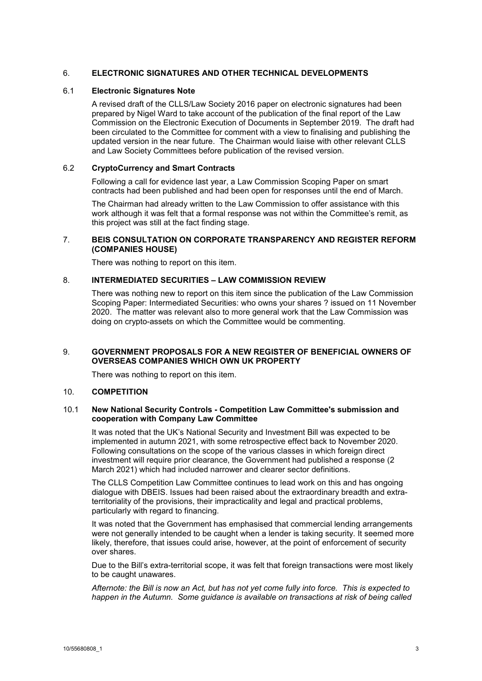### 6. **ELECTRONIC SIGNATURES AND OTHER TECHNICAL DEVELOPMENTS**

#### 6.1 **Electronic Signatures Note**

A revised draft of the CLLS/Law Society 2016 paper on electronic signatures had been prepared by Nigel Ward to take account of the publication of the final report of the Law Commission on the Electronic Execution of Documents in September 2019. The draft had been circulated to the Committee for comment with a view to finalising and publishing the updated version in the near future. The Chairman would liaise with other relevant CLLS and Law Society Committees before publication of the revised version.

#### 6.2 **CryptoCurrency and Smart Contracts**

Following a call for evidence last year, a Law Commission Scoping Paper on smart contracts had been published and had been open for responses until the end of March.

The Chairman had already written to the Law Commission to offer assistance with this work although it was felt that a formal response was not within the Committee's remit, as this project was still at the fact finding stage.

### 7. **BEIS CONSULTATION ON CORPORATE TRANSPARENCY AND REGISTER REFORM (COMPANIES HOUSE)**

There was nothing to report on this item.

### 8. **INTERMEDIATED SECURITIES – LAW COMMISSION REVIEW**

There was nothing new to report on this item since the publication of the Law Commission Scoping Paper: Intermediated Securities: who owns your shares ? issued on 11 November 2020. The matter was relevant also to more general work that the Law Commission was doing on crypto-assets on which the Committee would be commenting.

#### 9. **GOVERNMENT PROPOSALS FOR A NEW REGISTER OF BENEFICIAL OWNERS OF OVERSEAS COMPANIES WHICH OWN UK PROPERTY**

There was nothing to report on this item.

#### 10. **COMPETITION**

#### 10.1 **New National Security Controls - Competition Law Committee's submission and cooperation with Company Law Committee**

It was noted that the UK's National Security and Investment Bill was expected to be implemented in autumn 2021, with some retrospective effect back to November 2020. Following consultations on the scope of the various classes in which foreign direct investment will require prior clearance, the Government had published a response (2 March 2021) which had included narrower and clearer sector definitions.

The CLLS Competition Law Committee continues to lead work on this and has ongoing dialogue with DBEIS. Issues had been raised about the extraordinary breadth and extraterritoriality of the provisions, their impracticality and legal and practical problems, particularly with regard to financing.

It was noted that the Government has emphasised that commercial lending arrangements were not generally intended to be caught when a lender is taking security. It seemed more likely, therefore, that issues could arise, however, at the point of enforcement of security over shares.

Due to the Bill's extra-territorial scope, it was felt that foreign transactions were most likely to be caught unawares.

*Afternote: the Bill is now an Act, but has not yet come fully into force. This is expected to happen in the Autumn. Some guidance is available on transactions at risk of being called*